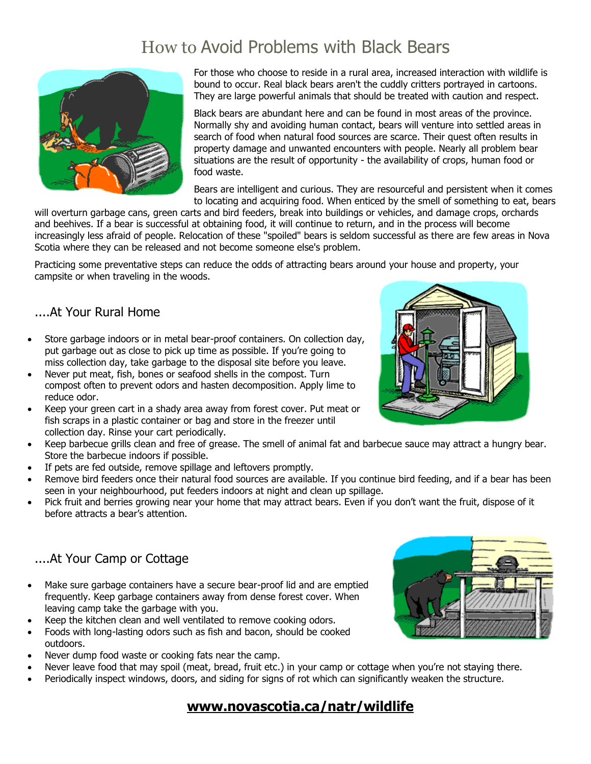# How to Avoid Problems with Black Bears



For those who choose to reside in a rural area, increased interaction with wildlife is bound to occur. Real black bears aren't the cuddly critters portrayed in cartoons. They are large powerful animals that should be treated with caution and respect.

Black bears are abundant here and can be found in most areas of the province. Normally shy and avoiding human contact, bears will venture into settled areas in search of food when natural food sources are scarce. Their quest often results in property damage and unwanted encounters with people. Nearly all problem bear situations are the result of opportunity - the availability of crops, human food or food waste.

Bears are intelligent and curious. They are resourceful and persistent when it comes to locating and acquiring food. When enticed by the smell of something to eat, bears

will overturn garbage cans, green carts and bird feeders, break into buildings or vehicles, and damage crops, orchards and beehives. If a bear is successful at obtaining food, it will continue to return, and in the process will become increasingly less afraid of people. Relocation of these "spoiled" bears is seldom successful as there are few areas in Nova Scotia where they can be released and not become someone else's problem.

Practicing some preventative steps can reduce the odds of attracting bears around your house and property, your campsite or when traveling in the woods.

#### ....At Your Rural Home

- Store garbage indoors or in metal bear-proof containers. On collection day, put garbage out as close to pick up time as possible. If you're going to miss collection day, take garbage to the disposal site before you leave.
- Never put meat, fish, bones or seafood shells in the compost. Turn compost often to prevent odors and hasten decomposition. Apply lime to reduce odor.
- Keep your green cart in a shady area away from forest cover. Put meat or fish scraps in a plastic container or bag and store in the freezer until collection day. Rinse your cart periodically.
- Keep barbecue grills clean and free of grease. The smell of animal fat and barbecue sauce may attract a hungry bear. Store the barbecue indoors if possible.
- If pets are fed outside, remove spillage and leftovers promptly.
- Remove bird feeders once their natural food sources are available. If you continue bird feeding, and if a bear has been seen in your neighbourhood, put feeders indoors at night and clean up spillage.
- Pick fruit and berries growing near your home that may attract bears. Even if you don't want the fruit, dispose of it before attracts a bear's attention.

#### ....At Your Camp or Cottage

- Make sure garbage containers have a secure bear-proof lid and are emptied frequently. Keep garbage containers away from dense forest cover. When leaving camp take the garbage with you.
- Keep the kitchen clean and well ventilated to remove cooking odors.
- Foods with long-lasting odors such as fish and bacon, should be cooked outdoors.
- Never dump food waste or cooking fats near the camp.
- Never leave food that may spoil (meat, bread, fruit etc.) in your camp or cottage when you're not staying there.
- Periodically inspect windows, doors, and siding for signs of rot which can significantly weaken the structure.

### **[www.novascotia.ca/natr/wildlife](http://www.novascotia.ca/natr/wildlife)**